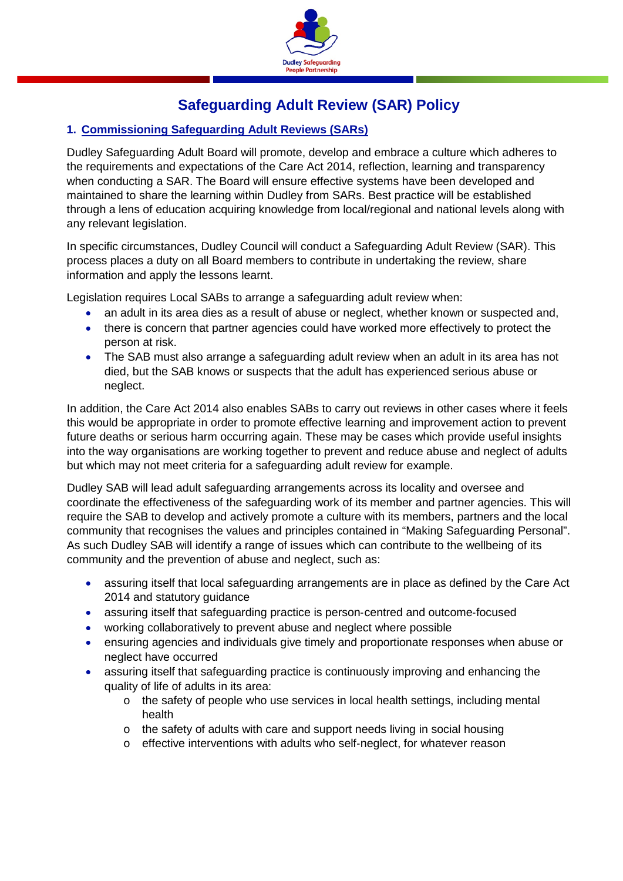

# **Safeguarding Adult Review (SAR) Policy**

## **1. Commissioning Safeguarding Adult Reviews (SARs)**

Dudley Safeguarding Adult Board will promote, develop and embrace a culture which adheres to the requirements and expectations of the Care Act 2014, reflection, learning and transparency when conducting a SAR. The Board will ensure effective systems have been developed and maintained to share the learning within Dudley from SARs. Best practice will be established through a lens of education acquiring knowledge from local/regional and national levels along with any relevant legislation.

In specific circumstances, Dudley Council will conduct a Safeguarding Adult Review (SAR). This process places a duty on all Board members to contribute in undertaking the review, share information and apply the lessons learnt.

Legislation requires Local SABs to arrange a safeguarding adult review when:

- an adult in its area dies as a result of abuse or neglect, whether known or suspected and,
- there is concern that partner agencies could have worked more effectively to protect the person at risk.
- The SAB must also arrange a safeguarding adult review when an adult in its area has not died, but the SAB knows or suspects that the adult has experienced serious abuse or neglect.

In addition, the Care Act 2014 also enables SABs to carry out reviews in other cases where it feels this would be appropriate in order to promote effective learning and improvement action to prevent future deaths or serious harm occurring again. These may be cases which provide useful insights into the way organisations are working together to prevent and reduce abuse and neglect of adults but which may not meet criteria for a safeguarding adult review for example.

Dudley SAB will lead adult safeguarding arrangements across its locality and oversee and coordinate the effectiveness of the safeguarding work of its member and partner agencies. This will require the SAB to develop and actively promote a culture with its members, partners and the local community that recognises the values and principles contained in "Making Safeguarding Personal". As such Dudley SAB will identify a range of issues which can contribute to the wellbeing of its community and the prevention of abuse and neglect, such as:

- assuring itself that local safeguarding arrangements are in place as defined by the Care Act 2014 and statutory guidance
- assuring itself that safeguarding practice is person‐centred and outcome‐focused
- working collaboratively to prevent abuse and neglect where possible
- ensuring agencies and individuals give timely and proportionate responses when abuse or neglect have occurred
- assuring itself that safeguarding practice is continuously improving and enhancing the quality of life of adults in its area:
	- o the safety of people who use services in local health settings, including mental health
	- o the safety of adults with care and support needs living in social housing
	- o effective interventions with adults who self‐neglect, for whatever reason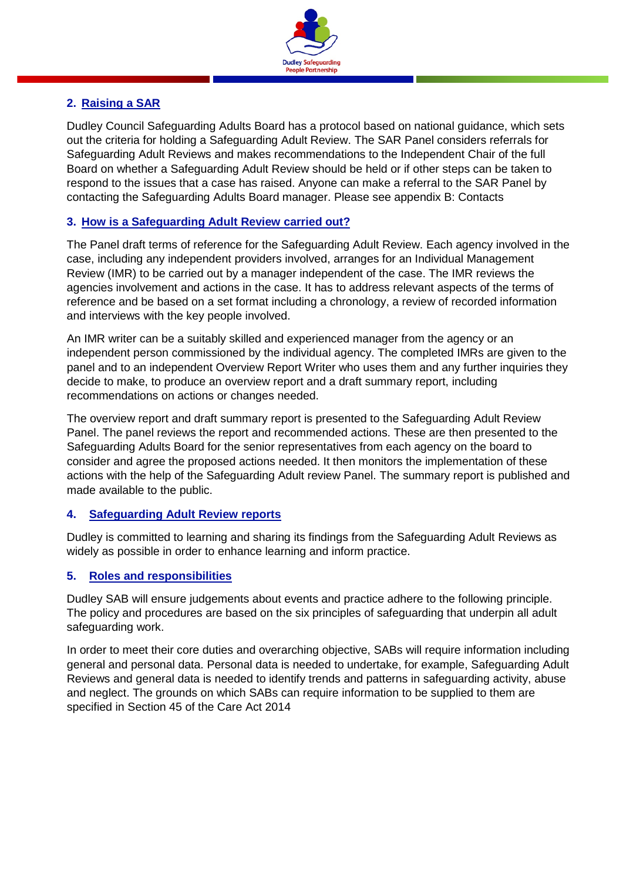

## **2. Raising a SAR**

Dudley Council Safeguarding Adults Board has a protocol based on national guidance, which sets out the criteria for holding a Safeguarding Adult Review. The SAR Panel considers referrals for Safeguarding Adult Reviews and makes recommendations to the Independent Chair of the full Board on whether a Safeguarding Adult Review should be held or if other steps can be taken to respond to the issues that a case has raised. Anyone can make a referral to the SAR Panel by contacting the Safeguarding Adults Board manager. Please see appendix B: Contacts

### **3. How is a Safeguarding Adult Review carried out?**

The Panel draft terms of reference for the Safeguarding Adult Review. Each agency involved in the case, including any independent providers involved, arranges for an Individual Management Review (IMR) to be carried out by a manager independent of the case. The IMR reviews the agencies involvement and actions in the case. It has to address relevant aspects of the terms of reference and be based on a set format including a chronology, a review of recorded information and interviews with the key people involved.

An IMR writer can be a suitably skilled and experienced manager from the agency or an independent person commissioned by the individual agency. The completed IMRs are given to the panel and to an independent Overview Report Writer who uses them and any further inquiries they decide to make, to produce an overview report and a draft summary report, including recommendations on actions or changes needed.

The overview report and draft summary report is presented to the Safeguarding Adult Review Panel. The panel reviews the report and recommended actions. These are then presented to the Safeguarding Adults Board for the senior representatives from each agency on the board to consider and agree the proposed actions needed. It then monitors the implementation of these actions with the help of the Safeguarding Adult review Panel. The summary report is published and made available to the public.

### **4. Safeguarding Adult Review reports**

Dudley is committed to learning and sharing its findings from the Safeguarding Adult Reviews as widely as possible in order to enhance learning and inform practice.

### **5. Roles and responsibilities**

Dudley SAB will ensure judgements about events and practice adhere to the following principle. The policy and procedures are based on the six principles of safeguarding that underpin all adult safeguarding work.

In order to meet their core duties and overarching objective, SABs will require information including general and personal data. Personal data is needed to undertake, for example, Safeguarding Adult Reviews and general data is needed to identify trends and patterns in safeguarding activity, abuse and neglect. The grounds on which SABs can require information to be supplied to them are specified in Section 45 of the Care Act 2014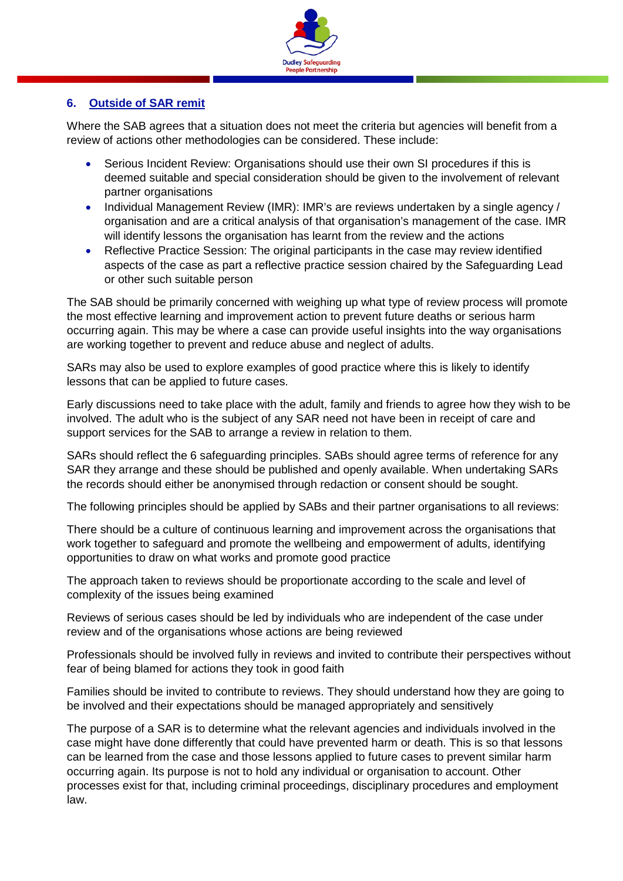

#### **6. Outside of SAR remit**

Where the SAB agrees that a situation does not meet the criteria but agencies will benefit from a review of actions other methodologies can be considered. These include:

- Serious Incident Review: Organisations should use their own SI procedures if this is deemed suitable and special consideration should be given to the involvement of relevant partner organisations
- Individual Management Review (IMR): IMR's are reviews undertaken by a single agency / organisation and are a critical analysis of that organisation's management of the case. IMR will identify lessons the organisation has learnt from the review and the actions
- Reflective Practice Session: The original participants in the case may review identified aspects of the case as part a reflective practice session chaired by the Safeguarding Lead or other such suitable person

The SAB should be primarily concerned with weighing up what type of review process will promote the most effective learning and improvement action to prevent future deaths or serious harm occurring again. This may be where a case can provide useful insights into the way organisations are working together to prevent and reduce abuse and neglect of adults.

SARs may also be used to explore examples of good practice where this is likely to identify lessons that can be applied to future cases.

Early discussions need to take place with the adult, family and friends to agree how they wish to be involved. The adult who is the subject of any SAR need not have been in receipt of care and support services for the SAB to arrange a review in relation to them.

SARs should reflect the 6 safeguarding principles. SABs should agree terms of reference for any SAR they arrange and these should be published and openly available. When undertaking SARs the records should either be anonymised through redaction or consent should be sought.

The following principles should be applied by SABs and their partner organisations to all reviews:

There should be a culture of continuous learning and improvement across the organisations that work together to safeguard and promote the wellbeing and empowerment of adults, identifying opportunities to draw on what works and promote good practice

The approach taken to reviews should be proportionate according to the scale and level of complexity of the issues being examined

Reviews of serious cases should be led by individuals who are independent of the case under review and of the organisations whose actions are being reviewed

Professionals should be involved fully in reviews and invited to contribute their perspectives without fear of being blamed for actions they took in good faith

Families should be invited to contribute to reviews. They should understand how they are going to be involved and their expectations should be managed appropriately and sensitively

The purpose of a SAR is to determine what the relevant agencies and individuals involved in the case might have done differently that could have prevented harm or death. This is so that lessons can be learned from the case and those lessons applied to future cases to prevent similar harm occurring again. Its purpose is not to hold any individual or organisation to account. Other processes exist for that, including criminal proceedings, disciplinary procedures and employment law.